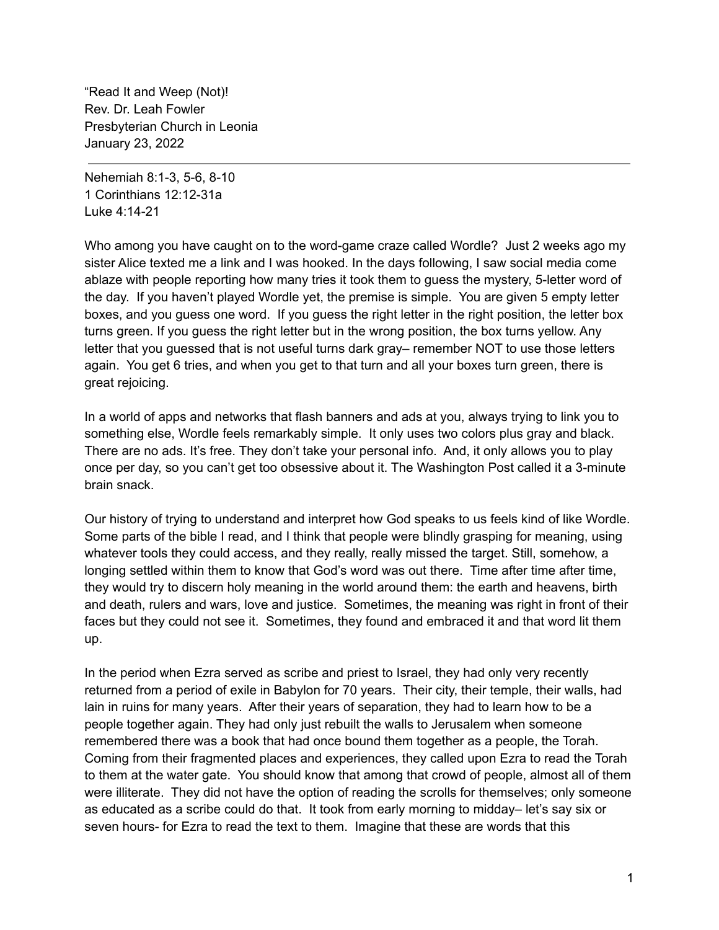"Read It and Weep (Not)! Rev. Dr. Leah Fowler Presbyterian Church in Leonia January 23, 2022

Nehemiah 8:1-3, 5-6, 8-10 1 Corinthians 12:12-31a Luke 4:14-21

Who among you have caught on to the word-game craze called Wordle? Just 2 weeks ago my sister Alice texted me a link and I was hooked. In the days following, I saw social media come ablaze with people reporting how many tries it took them to guess the mystery, 5-letter word of the day. If you haven't played Wordle yet, the premise is simple. You are given 5 empty letter boxes, and you guess one word. If you guess the right letter in the right position, the letter box turns green. If you guess the right letter but in the wrong position, the box turns yellow. Any letter that you guessed that is not useful turns dark gray– remember NOT to use those letters again. You get 6 tries, and when you get to that turn and all your boxes turn green, there is great rejoicing.

In a world of apps and networks that flash banners and ads at you, always trying to link you to something else, Wordle feels remarkably simple. It only uses two colors plus gray and black. There are no ads. It's free. They don't take your personal info. And, it only allows you to play once per day, so you can't get too obsessive about it. The Washington Post called it a 3-minute brain snack.

Our history of trying to understand and interpret how God speaks to us feels kind of like Wordle. Some parts of the bible I read, and I think that people were blindly grasping for meaning, using whatever tools they could access, and they really, really missed the target. Still, somehow, a longing settled within them to know that God's word was out there. Time after time after time, they would try to discern holy meaning in the world around them: the earth and heavens, birth and death, rulers and wars, love and justice. Sometimes, the meaning was right in front of their faces but they could not see it. Sometimes, they found and embraced it and that word lit them up.

In the period when Ezra served as scribe and priest to Israel, they had only very recently returned from a period of exile in Babylon for 70 years. Their city, their temple, their walls, had lain in ruins for many years. After their years of separation, they had to learn how to be a people together again. They had only just rebuilt the walls to Jerusalem when someone remembered there was a book that had once bound them together as a people, the Torah. Coming from their fragmented places and experiences, they called upon Ezra to read the Torah to them at the water gate. You should know that among that crowd of people, almost all of them were illiterate. They did not have the option of reading the scrolls for themselves; only someone as educated as a scribe could do that. It took from early morning to midday– let's say six or seven hours- for Ezra to read the text to them. Imagine that these are words that this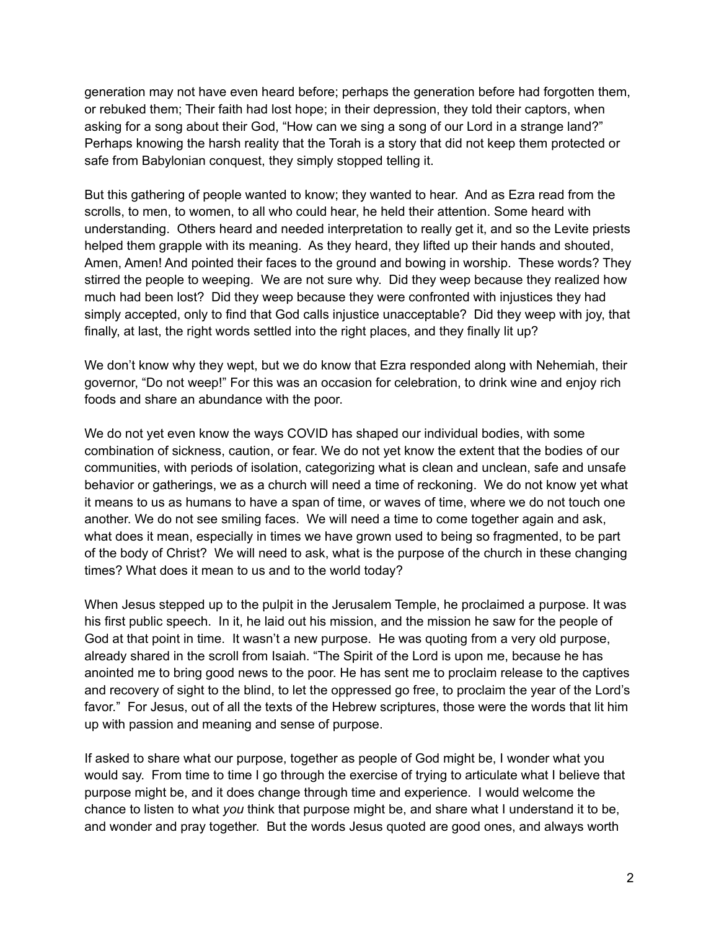generation may not have even heard before; perhaps the generation before had forgotten them, or rebuked them; Their faith had lost hope; in their depression, they told their captors, when asking for a song about their God, "How can we sing a song of our Lord in a strange land?" Perhaps knowing the harsh reality that the Torah is a story that did not keep them protected or safe from Babylonian conquest, they simply stopped telling it.

But this gathering of people wanted to know; they wanted to hear. And as Ezra read from the scrolls, to men, to women, to all who could hear, he held their attention. Some heard with understanding. Others heard and needed interpretation to really get it, and so the Levite priests helped them grapple with its meaning. As they heard, they lifted up their hands and shouted, Amen, Amen! And pointed their faces to the ground and bowing in worship. These words? They stirred the people to weeping. We are not sure why. Did they weep because they realized how much had been lost? Did they weep because they were confronted with injustices they had simply accepted, only to find that God calls injustice unacceptable? Did they weep with joy, that finally, at last, the right words settled into the right places, and they finally lit up?

We don't know why they wept, but we do know that Ezra responded along with Nehemiah, their governor, "Do not weep!" For this was an occasion for celebration, to drink wine and enjoy rich foods and share an abundance with the poor.

We do not yet even know the ways COVID has shaped our individual bodies, with some combination of sickness, caution, or fear. We do not yet know the extent that the bodies of our communities, with periods of isolation, categorizing what is clean and unclean, safe and unsafe behavior or gatherings, we as a church will need a time of reckoning. We do not know yet what it means to us as humans to have a span of time, or waves of time, where we do not touch one another. We do not see smiling faces. We will need a time to come together again and ask, what does it mean, especially in times we have grown used to being so fragmented, to be part of the body of Christ? We will need to ask, what is the purpose of the church in these changing times? What does it mean to us and to the world today?

When Jesus stepped up to the pulpit in the Jerusalem Temple, he proclaimed a purpose. It was his first public speech. In it, he laid out his mission, and the mission he saw for the people of God at that point in time. It wasn't a new purpose. He was quoting from a very old purpose, already shared in the scroll from Isaiah. "The Spirit of the Lord is upon me, because he has anointed me to bring good news to the poor. He has sent me to proclaim release to the captives and recovery of sight to the blind, to let the oppressed go free, to proclaim the year of the Lord's favor." For Jesus, out of all the texts of the Hebrew scriptures, those were the words that lit him up with passion and meaning and sense of purpose.

If asked to share what our purpose, together as people of God might be, I wonder what you would say. From time to time I go through the exercise of trying to articulate what I believe that purpose might be, and it does change through time and experience. I would welcome the chance to listen to what *you* think that purpose might be, and share what I understand it to be, and wonder and pray together. But the words Jesus quoted are good ones, and always worth